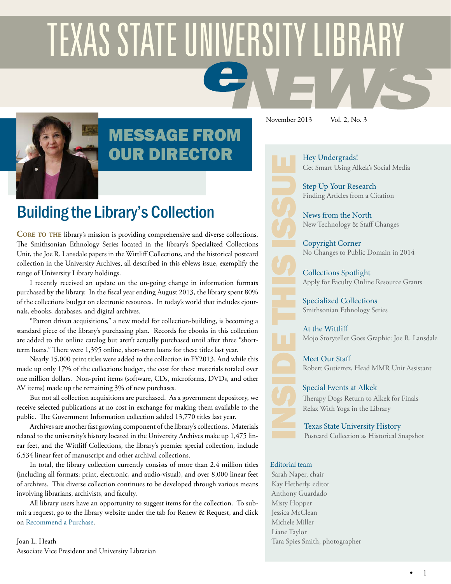# **TEXAS STATE UNIVERSITY LIBRARY**



# MESSAGE FROM OUR DIRECTOR

Building the Library's Collection

**Core to the** library's mission is providing comprehensive and diverse collections. The Smithsonian Ethnology Series located in the library's Specialized Collections Unit, the Joe R. Lansdale papers in the Wittliff Collections, and the historical postcard collection in the University Archives, all described in this eNews issue, exemplify the range of University Library holdings.

I recently received an update on the on-going change in information formats purchased by the library. In the fiscal year ending August 2013, the library spent 80% of the collections budget on electronic resources. In today's world that includes ejournals, ebooks, databases, and digital archives.

"Patron driven acquisitions," a new model for collection-building, is becoming a standard piece of the library's purchasing plan. Records for ebooks in this collection are added to the online catalog but aren't actually purchased until after three "shortterm loans." There were 1,395 online, short-term loans for these titles last year.

Nearly 15,000 print titles were added to the collection in FY2013. And while this made up only 17% of the collections budget, the cost for these materials totaled over one million dollars. Non-print items (software, CDs, microforms, DVDs, and other AV items) made up the remaining 3% of new purchases.

But not all collection acquisitions are purchased. As a government depository, we receive selected publications at no cost in exchange for making them available to the public. The Government Information collection added 13,770 titles last year.

Archives are another fast growing component of the library's collections. Materials related to the university's history located in the University Archives make up 1,475 linear feet, and the Wittliff Collections, the library's premier special collection, include 6,534 linear feet of manuscript and other archival collections.

In total, the library collection currently consists of more than 2.4 million titles (including all formats: print, electronic, and audio-visual), and over 8,000 linear feet of archives. This diverse collection continues to be developed through various means involving librarians, archivists, and faculty.

All library users have an opportunity to suggest items for the collection. To submit a request, go to the library website under the tab for Renew & Request, and click on [Recommend a Purchase.](https://tim.txstate.edu/libraryorders/LibraryOrderRequest.aspx)

Joan L. Heath Associate Vice President and University Librarian November 2013 Vol. 2, No. 3

[Hey Undergrads!](#page-1-0)  Get Smart Using Alkek's Social Media

[Step Up Your Research](#page-1-1) Finding Articles from a Citation

[News from the North](#page-2-0) New Technology & Staff Changes

[Copyright Corner](#page-2-1) No Changes to Public Domain in 2014

[Collections Spotlight](#page-3-0) Apply for Faculty Online Resource Grants

[Specialized Collections](#page-3-1) Smithsonian Ethnology Series

[At the Wittliff](#page-4-0) Mojo Storyteller Goes Graphic: Joe R. Lansdale

[Meet Our Staff](#page-5-0) [Robert Gutierrez](#page-5-0), Head MMR Unit Assistant

[Special Events at Alkek](#page-6-0) Therapy Dogs Return to Alkek for Finals Relax With Yoga in the Library

[Texas State University Histor](#page-7-0)y Postcard Collection as Historical Snapshot

#### Editorial team

Sarah Naper, chair Kay Hetherly, editor Anthony Guardado Misty Hopper Jessica McClean Michele Miller Liane Taylor Tara Spies Smith, photographer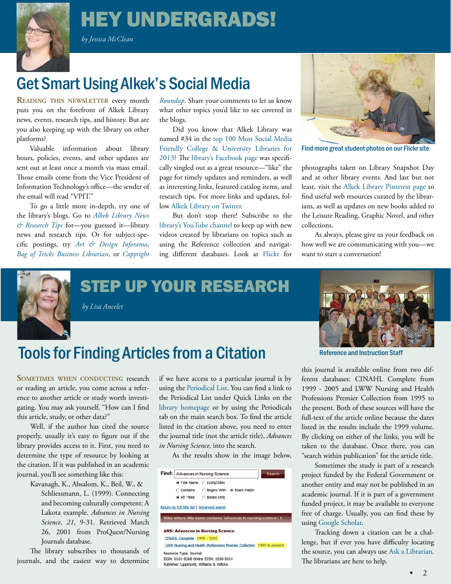# HEY UNDERGRADS!

 *by Jessica McClean*

<span id="page-1-0"></span>

# **Get Smart Using Alkek's Social Media**

**READING THIS NEWSLETTER** every month puts you on the forefront of Alkek Library news, events, research tips, and history. But are you also keeping up with the library on other platforms?

Valuable information about library hours, policies, events, and other updates are sent out at least once a month via mass email. Those emails come from the Vice President of Information Technology's office—the sender of the email will read "VPIT."

To go a little more in-depth, try one of the library's blogs. Go to *[Alkek Library News](http://alkeklibrary.wp.txstate.edu/) [& Research Tips](http://alkeklibrary.wp.txstate.edu/)* for—you guessed it—library news and research tips. Or for subject-specific postings, try *[Art & Design Inforama](http://artinforama.blogspot.com/)*, *[Bag of Tricks Business Librarian](http://charallan.blogspot.com/)*, or *[Copyright](http://copyrightroundup.wordpress.com/)*  *[Roundup](http://copyrightroundup.wordpress.com/)*. Share your comments to let us know what other topics you'd like to see covered in the blogs.

Did you know that Alkek Library was named #34 in the [top 100 Most Social Media](http://librarysciencelist.com/100-most-social-media-friendly-college-university-libraries/) [Friendly College & University Libraries for](http://librarysciencelist.com/100-most-social-media-friendly-college-university-libraries/) [2013](http://librarysciencelist.com/100-most-social-media-friendly-college-university-libraries/)? The [library's Facebook page](http://www.facebook.com/pages/Albert-B-Alkek-Library-Texas-State-University-San-Marcos/27145383124) was specifically singled out as a great resource—"like" the page for timely updates and reminders, as well as interesting links, featured catalog items, and research tips. For more links and updates, follow [Alkek Library on Twitter](https://twitter.com/alkeklibrary).

But don't stop there! Subscribe to the [library's YouTube channel](http://www.youtube.com/alkeklibrary) to keep up with new videos created by librarians on topics such as using the Reference collection and navigating different databases. Look at [Flickr](http://www.flickr.com/photos/alkeklibrary/) for



Find more great student photos on our Flickr site

photographs taken on Library Snapshot Day and at other library events. And last but not least, visit th[e Alkek Library Pinterest page](http://www.pinterest.com/alkeklibrary/) to find useful web resources curated by the librarians, as well as updates on new books added to the Leisure Reading, Graphic Novel, and other collections.

As always, please give us your feedback on how well we are communicating with you—we want to start a conversation!



<span id="page-1-1"></span>STEP UP YOUR RESEARCH

 *by Lisa Ancelet*

# Tools for Finding Articles from a Citation Manuel Reference and Instruction Staff

**SOMETIMES WHEN CONDUCTING** research or reading an article, you come across a reference to another article or study worth investigating. You may ask yourself, "How can I find this article, study, or other data?"

Well, if the author has cited the source properly, usually it's easy to figure out if the library provides access to it. First, you need to determine the type of resource by looking at the citation. If it was published in an academic journal, you'll see something like this:

Kavanagh, K., Absalom, K., Beil, W., & Schliessmann, L. (1999). Connecting and becoming culturally competent: A Lakota example. *Advances in Nursing Science, 21*, 9-31. Retrieved March 26, 2001 from ProQuest/Nursing Journals database.

The library subscribes to thousands of journals, and the easiest way to determine if we have access to a particular journal is by using the [Periodical List](http://atoz.ebsco.com/Search/tsusm?lang=en&lang.menu=en&lang.subject=en). You can find a link to the Periodical List under Quick Links on the [library homepage o](http://www.library.txstate.edu/)r by using the Periodicals tab on the main search box. To find the article listed in the citation above, you need to enter the journal title (not the article title), *Advances in Nursing Science,* into the search.

As the results show in the image below,

| Find: | Advances in Nursing Science |                                         |                                                                       | Search                                                            |
|-------|-----------------------------|-----------------------------------------|-----------------------------------------------------------------------|-------------------------------------------------------------------|
|       |                             | Title Name C ISSN/ISBN                  |                                                                       |                                                                   |
|       | C Contains                  |                                         | C Begins With G Exact Match                                           |                                                                   |
|       | G All Titles                | <b>C</b> Books Only                     |                                                                       |                                                                   |
|       |                             |                                         |                                                                       | Titles where title name contains 'advances in nursing science': 1 |
|       |                             | <b>ANS: Advances in Nursing Science</b> |                                                                       |                                                                   |
|       | CINAHL Complete 1999 - 2005 |                                         |                                                                       |                                                                   |
|       |                             |                                         | LWW Nursing and Health Professions Premier Collection 1995 to present |                                                                   |
|       | Resource Type: Journal      |                                         |                                                                       |                                                                   |
|       |                             | ISSN: 0161-9268 Online ISSN: 1550-5014  |                                                                       |                                                                   |



this journal is available online from two different databases: CINAHL Complete from 1999 - 2005 and LWW Nursing and Health Professions Premier Collection from 1995 to the present. Both of these sources will have the full-text of the article online because the dates listed in the results include the 1999 volume. By clicking on either of the links, you will be taken to the database. Once there, you can "search within publication" for the article title.

Sometimes the study is part of a research project funded by the Federal Government or another entity and may not be published in an academic journal. If it is part of a government funded project, it may be available to everyone free of charge. Usually, you can find these by using [Google Scholar](http://catalog.library.txstate.edu/search~S1%3F/jDatabases%2Bg/jdatabases%2Bg/1%252C1%252C24%252CB/eresource%26FF%3Djdatabases%2Bg%2616%252C%252C24).

Tracking down a citation can be a challenge, but if ever you have difficulty locating the source, you can always use [Ask a Librarian](http://askalibrarian.library.txstate.edu/). The librarians are here to help.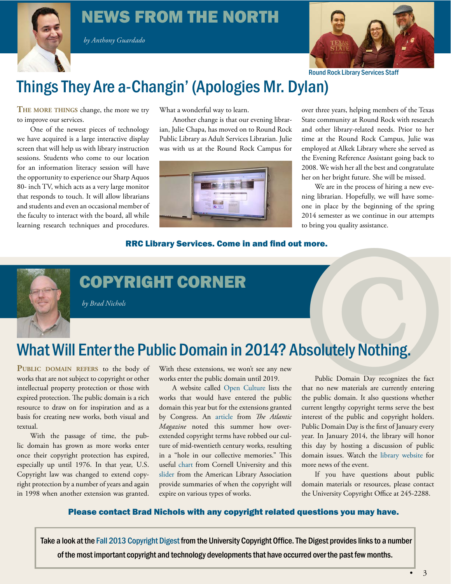#### <span id="page-2-0"></span>NEWS FROM THE NORTH

 *by Anthony Guardado*



Round Rock Library Services Staff

#### Things They Are a-Changin' (Apologies Mr. Dylan)

**The more things** change, the more we try to improve our services.

One of the newest pieces of technology we have acquired is a large interactive display screen that will help us with library instruction sessions. Students who come to our location for an information literacy session will have the opportunity to experience our Sharp Aquos 80- inch TV, which acts as a very large monitor that responds to touch. It will allow librarians and students and even an occasional member of the faculty to interact with the board, all while learning research techniques and procedures. What a wonderful way to learn.

Another change is that our evening librarian, Julie Chapa, has moved on to Round Rock Public Library as Adult Services Librarian. Julie was with us at the Round Rock Campus for



over three years, helping members of the Texas State community at Round Rock with research and other library-related needs. Prior to her time at the Round Rock Campus, Julie was employed at Alkek Library where she served as the Evening Reference Assistant going back to 2008. We wish her all the best and congratulate her on her bright future. She will be missed.

We are in the process of hiring a new evening librarian. Hopefully, we will have someone in place by the beginning of the spring 2014 semester as we continue in our attempts to bring you quality assistance.

#### RRC Library Services. Come in and find out more.



#### <span id="page-2-1"></span>COPYRIGHT CORNER

 *by Brad Nichols*

# **COPYRIGHT CORNER**<br>
For Brad Nichols<br>
For Brad Nichols<br>
What Will Enter the Public Domain in 2014? Absolutely Nothing.<br>
PUBLIC DOMAIN REFERS to the body of With these extensions, we won't see any new<br>
works that are not su

**Public domain refers** to the body of works that are not subject to copyright or other intellectual property protection or those with expired protection. The public domain is a rich resource to draw on for inspiration and as a basis for creating new works, both visual and textual.

With the passage of time, the public domain has grown as more works enter once their copyright protection has expired, especially up until 1976. In that year, U.S. Copyright law was changed to extend copyright protection by a number of years and again in 1998 when another extension was granted. With these extensions, we won't see any new works enter the public domain until 2019.

A website called [Open Culture](http://www.openculture.com/2013/03/what_didnt_enter_the_public_domain_in_2013.html) lists the works that would have entered the public domain this year but for the extensions granted by Congress. An [article](http://www.theatlantic.com/technology/archive/2013/07/the-hole-in-our-collective-memory-how-copyright-made-mid-century-books-vanish/278209/) from *The Atlantic Magazine* noted this summer how overextended copyright terms have robbed our culture of mid-twentieth century works, resulting in a "hole in our collective memories." This useful [chart f](http://copyright.cornell.edu/resources/publicdomain.cfm)rom Cornell University and this [slider](http://librarycopyright.net/resources/digitalslider/) from the American Library Association provide summaries of when the copyright will expire on various types of works.

Public Domain Day recognizes the fact that no new materials are currently entering the public domain. It also questions whether current lengthy copyright terms serve the best interest of the public and copyright holders. Public Domain Day is the first of January every year. In January 2014, the library will honor this day by hosting a discussion of public domain issues. Watch the [library website](http://www.library.txstate.edu/) for more news of the event.

If you have questions about public domain materials or resources, please contact the University Copyright Office at 245-2288.

#### Please contact [Brad Nichols](mailto:jbn16%40txstate.edu?subject=) with any copyright related questions you may have.

Take a look at the [Fall 2013 Copyright Digest](http://lgdata.s3-website-us-east-1.amazonaws.com/docs/1680/943419/Intellectual_Property_News_Digest_Fall_2013.pdf) from the University Copyright Office. The Digest provides links to a number of the most important copyright and technology developments that have occurred over the past few months.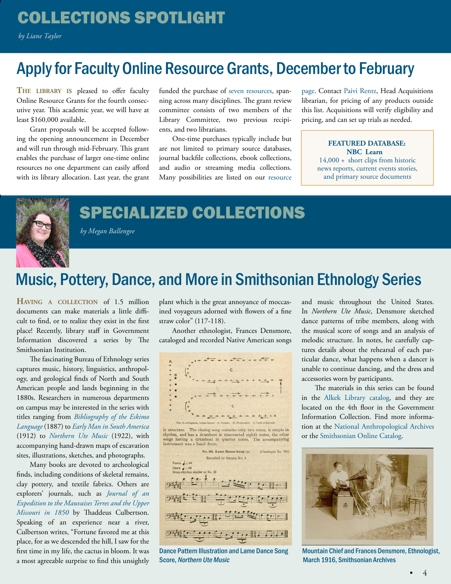#### <span id="page-3-0"></span>COLLECTIONS SPOTLIGHT

 *by Liane Taylor*

•

•

#### Apply for Faculty Online Resource Grants, December to February

**The library is** pleased to offer faculty Online Resource Grants for the fourth consecutive year. This academic year, we will have at least \$160,000 available.

Grant proposals will be accepted following the opening announcement in December and will run through mid-February. This grant enables the purchase of larger one-time online resources no one department can easily afford with its library allocation. Last year, the grant funded the purchase of [seven resources](https://digital.library.txstate.edu/bitstream/handle/10877/4522/Library%20eNews%20SpringFinals%202013.pdf), spanning across many disciplines. The grant review committee consists of two members of the Library Committee, two previous recipients, and two librarians.

One-time purchases typically include but are not limited to primary source databases, journal backfile collections, ebook collections, and audio or streaming media collections. Many possibilities are listed on our [resource](http://alkek.library.txstate.edu/ref/refdesk/grant_login.html) [page](http://alkek.library.txstate.edu/ref/refdesk/grant_login.html). Contact [Paivi Rentz](mailto:pr11%40txstate.edu?subject=), Head Acquisitions librarian, for pricing of any products outside this list. Acquisitions will verify eligibility and pricing, and can set up trials as needed.

#### **FEATURED DATABASE: [NBC Learn](http://catalog.library.txstate.edu/record%3De1000804~S1a)**

14,000 + short clips from historic news reports, current events stories, and primary source documents



**SPECIALIZED COLLECTIONS** 

<span id="page-3-1"></span> *by Megan Ballengee*

#### Music, Pottery, Dance, and More in Smithsonian Ethnology Series

**Having <sup>a</sup> collection** of 1.5 million documents can make materials a little difficult to find, or to realize they exist in the first place! Recently, library staff in Government Information discovered a series by The Smithsonian Institution.

The fascinating Bureau of Ethnology series captures music, history, linguistics, anthropology, and geological finds of North and South American people and lands beginning in the 1880s. Researchers in numerous departments on campus may be interested in the series with titles ranging from *[Bibliography of the Eskimo](http://catalog.library.txstate.edu/search~S1%3F/XBibliography%2Bof%2Bthe%2BEskimo%2BLanguage%2B%26m%3D%26SORT%3DD%26searchscope%3D1/XBibliography%2Bof%2Bthe%2BEskimo%2BLanguage%2B%26m%3D%26SORT%3DD%26searchscope%3D1%26SUBKEY%3DBibliography%2Bof%2Bthe%2BEskimo%2BLanguage%2B/1%252C6%252C6%252CB/frameset%26FF%3DXBibliography%2Bof%2Bthe%2BEskimo%2BLanguage%2B%26m%3D%26SORT%3DD%26searchscope%3D1%261%252C1%252C) [Language](http://catalog.library.txstate.edu/search~S1%3F/XBibliography%2Bof%2Bthe%2BEskimo%2BLanguage%2B%26m%3D%26SORT%3DD%26searchscope%3D1/XBibliography%2Bof%2Bthe%2BEskimo%2BLanguage%2B%26m%3D%26SORT%3DD%26searchscope%3D1%26SUBKEY%3DBibliography%2Bof%2Bthe%2BEskimo%2BLanguage%2B/1%252C6%252C6%252CB/frameset%26FF%3DXBibliography%2Bof%2Bthe%2BEskimo%2BLanguage%2B%26m%3D%26SORT%3DD%26searchscope%3D1%261%252C1%252C)* (1887) to *[Early Man in South America](http://catalog.library.txstate.edu/search~S1%3F/XEarly%2BMan%2Bin%2BSouth%2BAmerica%2B%26searchscope%3D1%26SORT%3DDZ/XEarly%2BMan%2Bin%2BSouth%2BAmerica%2B%26searchscope%3D1%26SORT%3DDZ%26extended%3D0%26SUBKEY%3DEarly%2BMan%2Bin%2BSouth%2BAmerica%2B/1%252C10%252C10%252CB/frameset%26FF%3DXEarly%2BMan%2Bin%2BSouth%2BAmerica%2B%26searchscope%3D1%26SORT%3DDZ%261%252C1%252C)* (1912) to *[Northern Ute Music](http://catalog.library.txstate.edu/search~S1%3F/XNorthern%2BUte%2BMusic%2B%26searchscope%3D1%26SORT%3DDZ/XNorthern%2BUte%2BMusic%2B%26searchscope%3D1%26SORT%3DDZ%26extended%3D0%26SUBKEY%3DNorthern%2BUte%2BMusic%2B/1%252C3%252C3%252CB/frameset%26FF%3DXNorthern%2BUte%2BMusic%2B%26searchscope%3D1%26SORT%3DDZ%261%252C1%252C)* (1922), with accompanying hand-drawn maps of excavation sites, illustrations, sketches, and photographs.

Many books are devoted to archeological finds, including conditions of skeletal remains, clay pottery, and textile fabrics. Others are explorers' journals, such as *[Journal of an](http://catalog.library.txstate.edu/record%3Db2441077) [Expedition to the Mauvaises Terres and the Upper](http://catalog.library.txstate.edu/record%3Db2441077) [Missouri in 1850](http://catalog.library.txstate.edu/record%3Db2441077)* by Thaddeus Culbertson. Speaking of an experience near a river, Culbertson writes, "Fortune favored me at this place, for as we descended the hill, I saw for the first time in my life, the cactus in bloom. It was a most agreeable surprise to find this unsightly

plant which is the great annoyance of moccasined voyageurs adorned with flowers of a fine straw color" (117-118).

Another ethnologist, Frances Densmore, cataloged and recorded Native American songs







Dance Pattern Illustration and Lame Dance Song Score, Northern Ute Music

and music throughout the United States. In *Northern Ute Music*, Densmore sketched dance patterns of tribe members, along with the musical score of songs and an analysis of melodic structure. In notes, he carefully captures details about the rehearsal of each particular dance, what happens when a dancer is unable to continue dancing, and the dress and accessories worn by participants.

The materials in this series can be found in the [Alkek Library catalog,](http://catalog.library.txstate.edu/) and they are located on the 4th floor in the Government Information Collection. Find more information at the [National Anthropological Archives](http://www.nmnh.si.edu/naa/) or the [Smithsonian Online Catalog](http://siris.si.edu/).



Mountain Chief and Frances Densmore, Ethnologist, March 1916, Smithsonian Archives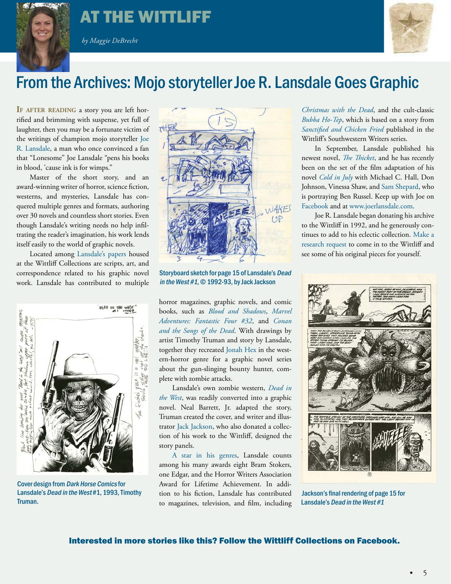

#### <span id="page-4-0"></span>AT THE WITTLIFF

 *by Maggie DeBrecht*



#### From the Archives: Mojo storyteller Joe R. Lansdale Goes Graphic

**If after reading** a story you are left horrified and brimming with suspense, yet full of laughter, then you may be a fortunate victim of the writings of champion mojo storyteller [Joe](http://www.joerlansdale.com/) [R. Lansdale,](http://www.joerlansdale.com/) a man who once convinced a fan that "Lonesome" Joe Lansdale "pens his books in blood, 'cause ink is for wimps."

Master of the short story, and an award-winning writer of horror, science fiction, westerns, and mysteries, Lansdale has conquered multiple genres and formats, authoring over 30 novels and countless short stories. Even though Lansdale's writing needs no help infiltrating the reader's imagination, his work lends itself easily to the world of graphic novels.

Located amon[g Lansdale's papers h](http://www.thewittliffcollections.txstate.edu/research/a-z/lansdale.html)oused at the Wittliff Collections are scripts, art, and correspondence related to his graphic novel work. Lansdale has contributed to multiple



Cover design from Dark Horse Comics for Lansdale's Dead in the West #1, 1993, Timothy Truman.



Storyboard sketch for page 15 of Lansdale's Dead in the West #1, © 1992-93, by Jack Jackson

horror magazines, graphic novels, and comic books, such as *[Blood and Shadows](http://www.fright.com/edge/Blood%26Shadows.htm)*, *[Marvel](http://marvel.com/comics/issue/17606/marvel_adventures_fantastic_four_2005_32) [Adventures: Fantastic Four #32](http://marvel.com/comics/issue/17606/marvel_adventures_fantastic_four_2005_32)*, and *[Conan](http://www.blackgate.com/conan-songs-of-the-dead/) [and the Songs of the Dead](http://www.blackgate.com/conan-songs-of-the-dead/)*. With drawings by artist Timothy Truman and story by Lansdale, together they recreated [Jonah Hex](http://www.fright.com/edge/JonahHex.htm) in the western-horror genre for a graphic novel series about the gun-slinging bounty hunter, complete with zombie attacks.

Lansdale's own zombie western, *[Dead in](http://billwardwriter.com/dead-in-the-west-review/)  [the West](http://billwardwriter.com/dead-in-the-west-review/)*, was readily converted into a graphic novel. Neal Barrett, Jr. adapted the story, Truman created the cover, and writer and illustrator [Jack Jackson](http://www.thewittliffcollections.txstate.edu/research/a-z/Jackson.html), who also donated a collection of his work to the Wittliff, designed the story panels.

[A star in his genres,](http://www.denofgeek.us/books-comics/joe-r-lansdale/167279/joe-r-lansdale-interview-the-thicket-and-beyond) Lansdale counts among his many awards eight Bram Stokers, one Edgar, and the Horror Writers Association Award for Lifetime Achievement. In addition to his fiction, Lansdale has contributed to magazines, television, and film, including

*[Christmas with the Dead](http://forcedviewing.com/2013/10/15/christmas-with-the-dead-movie-review-by-john-bruni/)*, and the cult-classic *[Bubba Ho-Tep](http://www.imdb.com/title/tt0281686/)*, which is based on a story from *[Sanctified and Chicken Fried](http://www.thewittliffcollections.txstate.edu/book-series/sanctified.html)* published in the Wittliff's Southwestern Writers series.

In September, Lansdale published his newest novel, *[The Thicket](http://www.joerlansdale.com/thicket.html)*, and he has recently been on the set of the film adaptation of his novel *[Cold in July](http://dailygrindhouse.com/thewire/movies-excited-about-cold-july-2014/)* with Michael C. Hall, Don Johnson, Vinessa Shaw, and [Sam Shepard](http://www.thewittliffcollections.txstate.edu/exhibitions-events/online/shepard.html), who is portraying Ben Russel. Keep up with Joe on [Facebook](https://www.facebook.com/JoeRLansdale) and at [www.joerlansdale.com.](http://www.joerlansdale.com/)

Joe R. Lansdale began donating his archive to the Wittliff in 1992, and he generously continues to add to his eclectic collection. [Make a](http://www.thewittliffcollections.txstate.edu/research)  [research request](http://www.thewittliffcollections.txstate.edu/research) to come in to the Wittliff and see some of his original pieces for yourself.



Jackson's final rendering of page 15 for Lansdale's Dead in the West #1

#### Interested in more stories like this? Follow the [Wittliff Collections on Facebook](https://www.facebook.com/thewittliffcollections).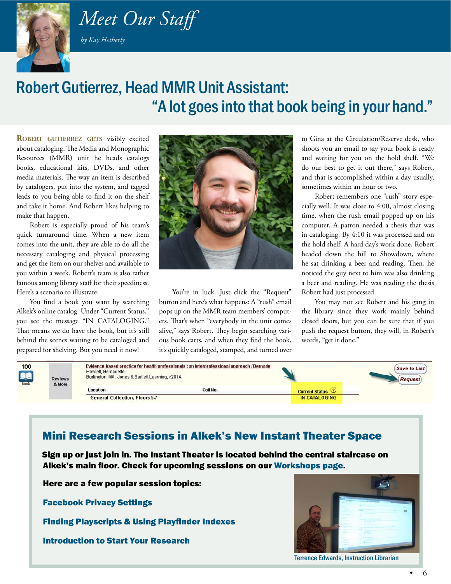

# <span id="page-5-0"></span> *Meet Our Staff*

 *by Kay Hetherly*

#### Robert Gutierrez, Head MMR Unit Assistant: "A lot goes into that book being in your hand."

**ROBERT GUTIERREZ GETS** visibly excited about cataloging. The Media and Monographic Resources (MMR) unit he heads catalogs books, educational kits, DVDs, and other media materials. The way an item is described by catalogers, put into the system, and tagged leads to you being able to find it on the shelf and take it home. And Robert likes helping to make that happen.

Robert is especially proud of his team's quick turnaround time. When a new item comes into the unit, they are able to do all the necessary cataloging and physical processing and get the item on our shelves and available to you within a week. Robert's team is also rather famous among library staff for their speediness. Here's a scenario to illustrate:

You find a book you want by searching Alkek's online catalog. Under "Current Status," you see the message "IN CATALOGING." That means we do have the book, but it's still behind the scenes waiting to be cataloged and prepared for shelving. But you need it now!



You're in luck. Just click the "Request" button and here's what happens: A "rush" email pops up on the MMR team members' computers. That's when "everybody in the unit comes alive," says Robert. They begin searching various book carts, and when they find the book, it's quickly cataloged, stamped, and turned over

to Gina at the Circulation/Reserve desk, who shoots you an email to say your book is ready and waiting for you on the hold shelf. "We do our best to get it out there," says Robert, and that is accomplished within a day usually, sometimes within an hour or two.

Robert remembers one "rush" story especially well. It was close to 4:00, almost closing time, when the rush email popped up on his computer. A patron needed a thesis that was in cataloging. By 4:10 it was processed and on the hold shelf. A hard day's work done, Robert headed down the hill to Showdown, where he sat drinking a beer and reading. Then, he noticed the guy next to him was also drinking a beer and reading. He was reading the thesis Robert had just processed.

You may not see Robert and his gang in the library since they work mainly behind closed doors, but you can be sure that if you push the request button, they will, in Robert's words, "get it done."

| 100<br>RA<br><b>Book</b> | <b>Reviews</b><br>& More | Evidence-based practice for health professionals : an interprofessional approach / Bernade<br>Howlett, Bernadette.<br>Burlington, MA: Jones & Bartlett Learning, c2014. |          |                       | <b>Save to List</b><br><b>Request</b> |
|--------------------------|--------------------------|-------------------------------------------------------------------------------------------------------------------------------------------------------------------------|----------|-----------------------|---------------------------------------|
|                          |                          | Location                                                                                                                                                                | Call No. | <b>Current Status</b> |                                       |
|                          |                          | <b>General Collection, Floors 5-7</b>                                                                                                                                   |          | <b>IN CATALOGING</b>  |                                       |

#### Mini Research Sessions in Alkek's New Instant Theater Space

 Sign up or just join in. The Instant Theater is located behind the central staircase on Alkek's main floor. Check for upcoming sessions on our [Workshops page](http://www.library.txstate.edu/help/workshops.html).

Here are a few popular session topics:

Facebook Privacy Settings

Finding Playscripts & Using Playfinder Indexes

Introduction to Start Your Research



Terrence Edwards, Instruction Librarian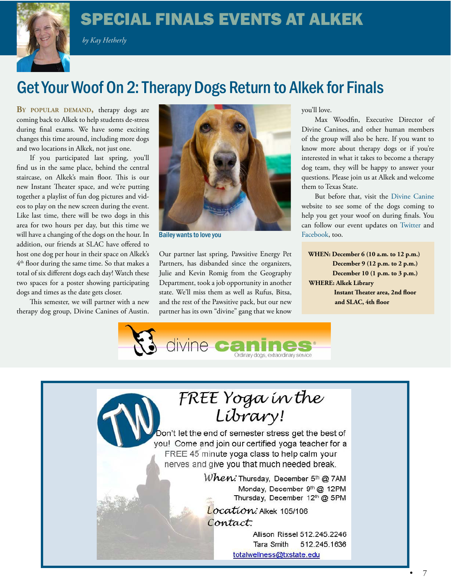#### SPECIAL FINALS EVENTS AT ALKEK

 *by Kay Hetherly*

<span id="page-6-0"></span>

### Get Your Woof On 2: Therapy Dogs Return to Alkek for Finals

BY POPULAR DEMAND, therapy dogs are coming back to Alkek to help students de-stress during final exams. We have some exciting changes this time around, including more dogs and two locations in Alkek, not just one.

If you participated last spring, you'll find us in the same place, behind the central staircase, on Alkek's main floor. This is our new Instant Theater space, and we're putting together a playlist of fun dog pictures and videos to play on the new screen during the event. Like last time, there will be two dogs in this area for two hours per day, but this time we will have a changing of the dogs on the hour. In addition, our friends at SLAC have offered to host one dog per hour in their space on Alkek's 4<sup>th</sup> floor during the same time. So that makes a total of six different dogs each day! Watch these two spaces for a poster showing participating dogs and times as the date gets closer.

This semester, we will partner with a new therapy dog group, Divine Canines of Austin.



Bailey wants to love you **Facebook**, too.

Our partner last spring, Pawsitive Energy Pet Partners, has disbanded since the organizers, Julie and Kevin Romig from the Geography Department, took a job opportunity in another state. We'll miss them as well as Rufus, Bitsa, and the rest of the Pawsitive pack, but our new partner has its own "divine" gang that we know

you'll love.

Max Woodfin, Executive Director of Divine Canines, and other human members of the group will also be here. If you want to know more about therapy dogs or if you're interested in what it takes to become a therapy dog team, they will be happy to answer your questions. Please join us at Alkek and welcome them to Texas State.

But before that, visit the [Divine Canine](http://www.divinecanines.org/our_canines.php)  website to see some of the dogs coming to help you get your woof on during finals. You can follow our event updates on [Twitter](%20https://twitter.com/alkeklibrary) and

 **WHEN: December 6 (10 a.m. to 12 p.m.) December 9 (12 p.m. to 2 p.m.) December 10 (1 p.m. to 3 p.m.) WHERE: Alkek Library Instant Theater area, 2nd floor and SLAC, 4th floor**